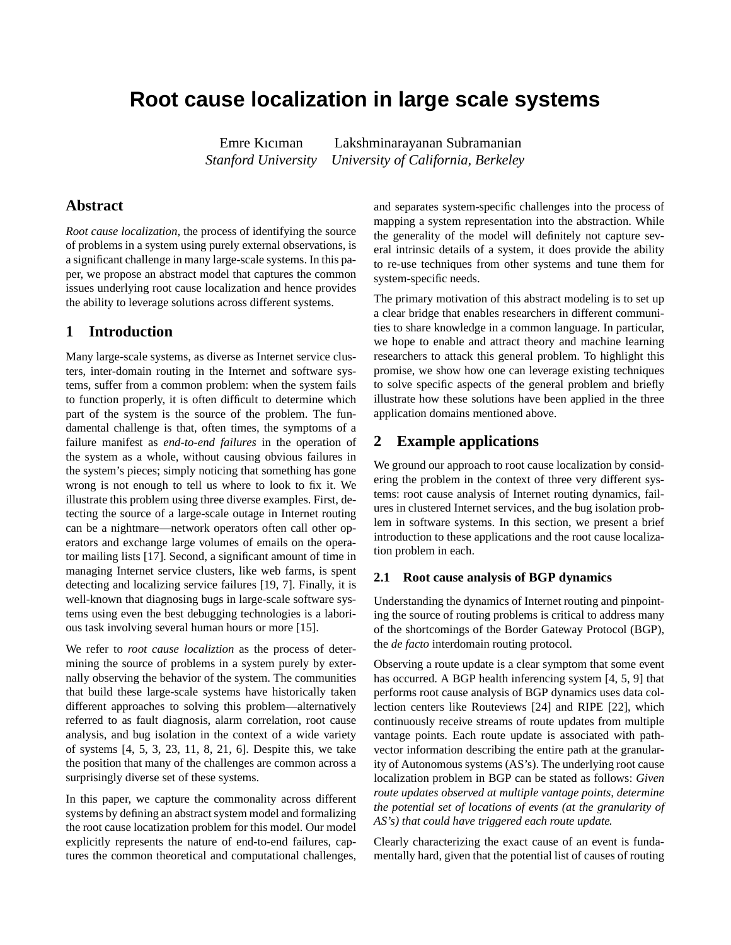# **Root cause localization in large scale systems**

Emre Kıcıman Lakshminarayanan Subramanian *Stanford University University of California, Berkeley*

### **Abstract**

*Root cause localization*, the process of identifying the source of problems in a system using purely external observations, is a significant challenge in many large-scale systems. In this paper, we propose an abstract model that captures the common issues underlying root cause localization and hence provides the ability to leverage solutions across different systems.

### **1 Introduction**

Many large-scale systems, as diverse as Internet service clusters, inter-domain routing in the Internet and software systems, suffer from a common problem: when the system fails to function properly, it is often difficult to determine which part of the system is the source of the problem. The fundamental challenge is that, often times, the symptoms of a failure manifest as *end-to-end failures* in the operation of the system as a whole, without causing obvious failures in the system's pieces; simply noticing that something has gone wrong is not enough to tell us where to look to fix it. We illustrate this problem using three diverse examples. First, detecting the source of a large-scale outage in Internet routing can be a nightmare—network operators often call other operators and exchange large volumes of emails on the operator mailing lists [17]. Second, a significant amount of time in managing Internet service clusters, like web farms, is spent detecting and localizing service failures [19, 7]. Finally, it is well-known that diagnosing bugs in large-scale software systems using even the best debugging technologies is a laborious task involving several human hours or more [15].

We refer to *root cause localiztion* as the process of determining the source of problems in a system purely by externally observing the behavior of the system. The communities that build these large-scale systems have historically taken different approaches to solving this problem—alternatively referred to as fault diagnosis, alarm correlation, root cause analysis, and bug isolation in the context of a wide variety of systems [4, 5, 3, 23, 11, 8, 21, 6]. Despite this, we take the position that many of the challenges are common across a surprisingly diverse set of these systems.

In this paper, we capture the commonality across different systems by defining an abstract system model and formalizing the root cause locatization problem for this model. Our model explicitly represents the nature of end-to-end failures, captures the common theoretical and computational challenges,

and separates system-specific challenges into the process of mapping a system representation into the abstraction. While the generality of the model will definitely not capture several intrinsic details of a system, it does provide the ability to re-use techniques from other systems and tune them for system-specific needs.

The primary motivation of this abstract modeling is to set up a clear bridge that enables researchers in different communities to share knowledge in a common language. In particular, we hope to enable and attract theory and machine learning researchers to attack this general problem. To highlight this promise, we show how one can leverage existing techniques to solve specific aspects of the general problem and briefly illustrate how these solutions have been applied in the three application domains mentioned above.

### **2 Example applications**

We ground our approach to root cause localization by considering the problem in the context of three very different systems: root cause analysis of Internet routing dynamics, failures in clustered Internet services, and the bug isolation problem in software systems. In this section, we present a brief introduction to these applications and the root cause localization problem in each.

#### **2.1 Root cause analysis of BGP dynamics**

Understanding the dynamics of Internet routing and pinpointing the source of routing problems is critical to address many of the shortcomings of the Border Gateway Protocol (BGP), the *de facto* interdomain routing protocol.

Observing a route update is a clear symptom that some event has occurred. A BGP health inferencing system [4, 5, 9] that performs root cause analysis of BGP dynamics uses data collection centers like Routeviews [24] and RIPE [22], which continuously receive streams of route updates from multiple vantage points. Each route update is associated with pathvector information describing the entire path at the granularity of Autonomous systems (AS's). The underlying root cause localization problem in BGP can be stated as follows: *Given route updates observed at multiple vantage points, determine the potential set of locations of events (at the granularity of AS's) that could have triggered each route update.*

Clearly characterizing the exact cause of an event is fundamentally hard, given that the potential list of causes of routing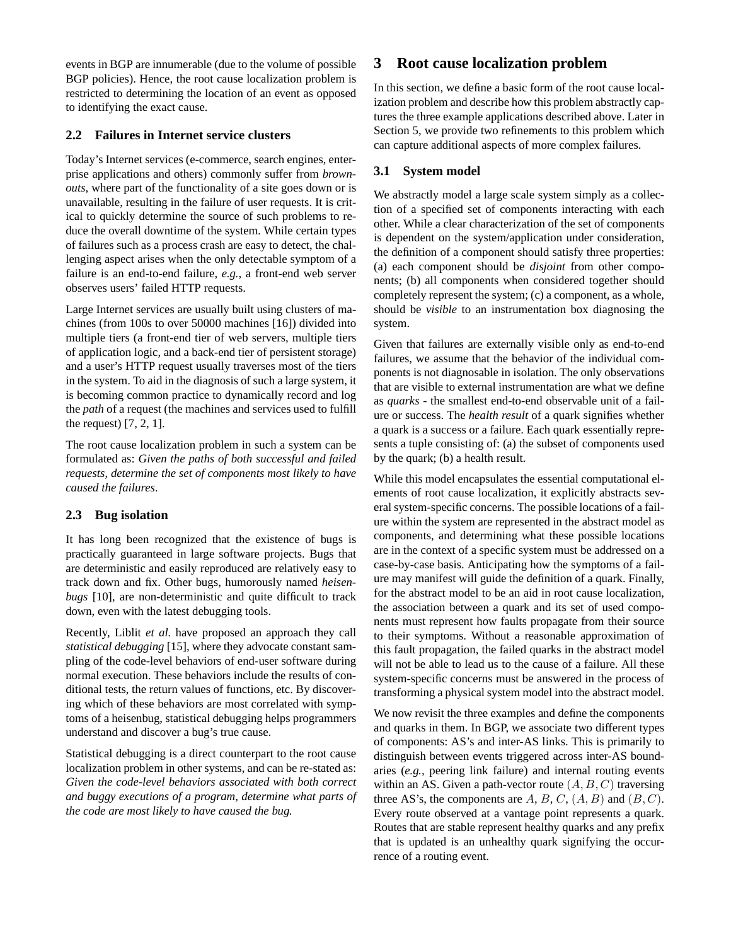events in BGP are innumerable (due to the volume of possible BGP policies). Hence, the root cause localization problem is restricted to determining the location of an event as opposed to identifying the exact cause.

### **2.2 Failures in Internet service clusters**

Today's Internet services (e-commerce, search engines, enterprise applications and others) commonly suffer from *brownouts*, where part of the functionality of a site goes down or is unavailable, resulting in the failure of user requests. It is critical to quickly determine the source of such problems to reduce the overall downtime of the system. While certain types of failures such as a process crash are easy to detect, the challenging aspect arises when the only detectable symptom of a failure is an end-to-end failure, *e.g.,* a front-end web server observes users' failed HTTP requests.

Large Internet services are usually built using clusters of machines (from 100s to over 50000 machines [16]) divided into multiple tiers (a front-end tier of web servers, multiple tiers of application logic, and a back-end tier of persistent storage) and a user's HTTP request usually traverses most of the tiers in the system. To aid in the diagnosis of such a large system, it is becoming common practice to dynamically record and log the *path* of a request (the machines and services used to fulfill the request) [7, 2, 1].

The root cause localization problem in such a system can be formulated as: *Given the paths of both successful and failed requests, determine the set of components most likely to have caused the failures*.

### **2.3 Bug isolation**

It has long been recognized that the existence of bugs is practically guaranteed in large software projects. Bugs that are deterministic and easily reproduced are relatively easy to track down and fix. Other bugs, humorously named *heisenbugs* [10], are non-deterministic and quite difficult to track down, even with the latest debugging tools.

Recently, Liblit *et al.* have proposed an approach they call *statistical debugging* [15], where they advocate constant sampling of the code-level behaviors of end-user software during normal execution. These behaviors include the results of conditional tests, the return values of functions, etc. By discovering which of these behaviors are most correlated with symptoms of a heisenbug, statistical debugging helps programmers understand and discover a bug's true cause.

Statistical debugging is a direct counterpart to the root cause localization problem in other systems, and can be re-stated as: *Given the code-level behaviors associated with both correct and buggy executions of a program, determine what parts of the code are most likely to have caused the bug.*

## **3 Root cause localization problem**

In this section, we define a basic form of the root cause localization problem and describe how this problem abstractly captures the three example applications described above. Later in Section 5, we provide two refinements to this problem which can capture additional aspects of more complex failures.

### **3.1 System model**

We abstractly model a large scale system simply as a collection of a specified set of components interacting with each other. While a clear characterization of the set of components is dependent on the system/application under consideration, the definition of a component should satisfy three properties: (a) each component should be *disjoint* from other components; (b) all components when considered together should completely represent the system; (c) a component, as a whole, should be *visible* to an instrumentation box diagnosing the system.

Given that failures are externally visible only as end-to-end failures, we assume that the behavior of the individual components is not diagnosable in isolation. The only observations that are visible to external instrumentation are what we define as *quarks* - the smallest end-to-end observable unit of a failure or success. The *health result* of a quark signifies whether a quark is a success or a failure. Each quark essentially represents a tuple consisting of: (a) the subset of components used by the quark; (b) a health result.

While this model encapsulates the essential computational elements of root cause localization, it explicitly abstracts several system-specific concerns. The possible locations of a failure within the system are represented in the abstract model as components, and determining what these possible locations are in the context of a specific system must be addressed on a case-by-case basis. Anticipating how the symptoms of a failure may manifest will guide the definition of a quark. Finally, for the abstract model to be an aid in root cause localization, the association between a quark and its set of used components must represent how faults propagate from their source to their symptoms. Without a reasonable approximation of this fault propagation, the failed quarks in the abstract model will not be able to lead us to the cause of a failure. All these system-specific concerns must be answered in the process of transforming a physical system model into the abstract model.

We now revisit the three examples and define the components and quarks in them. In BGP, we associate two different types of components: AS's and inter-AS links. This is primarily to distinguish between events triggered across inter-AS boundaries (*e.g.,* peering link failure) and internal routing events within an AS. Given a path-vector route  $(A, B, C)$  traversing three AS's, the components are  $A, B, C, (A, B)$  and  $(B, C)$ . Every route observed at a vantage point represents a quark. Routes that are stable represent healthy quarks and any prefix that is updated is an unhealthy quark signifying the occurrence of a routing event.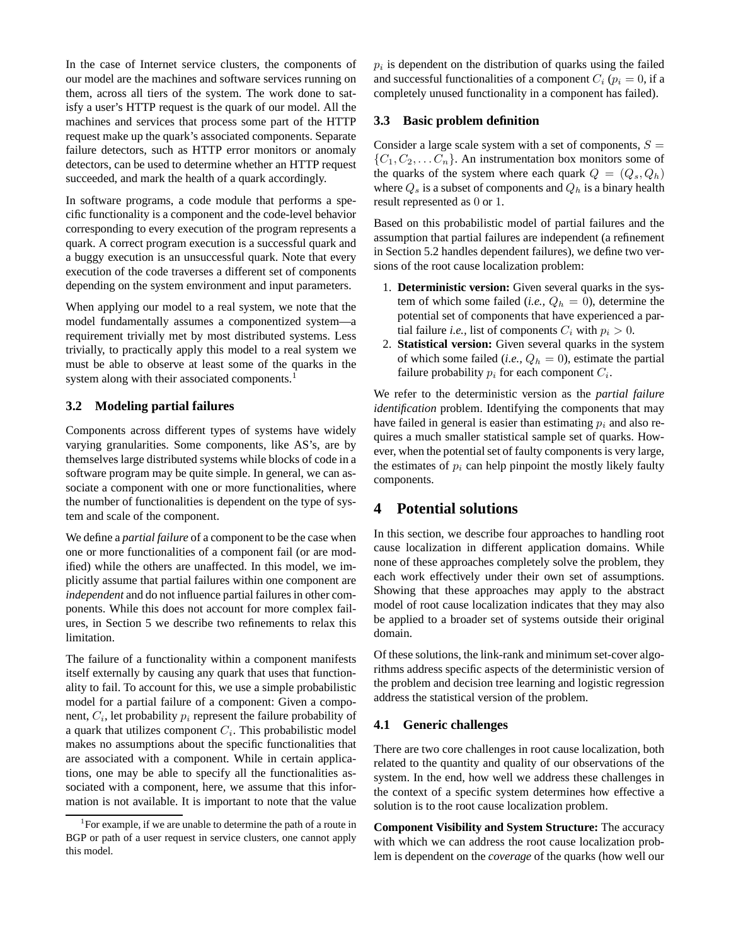In the case of Internet service clusters, the components of our model are the machines and software services running on them, across all tiers of the system. The work done to satisfy a user's HTTP request is the quark of our model. All the machines and services that process some part of the HTTP request make up the quark's associated components. Separate failure detectors, such as HTTP error monitors or anomaly detectors, can be used to determine whether an HTTP request succeeded, and mark the health of a quark accordingly.

In software programs, a code module that performs a specific functionality is a component and the code-level behavior corresponding to every execution of the program represents a quark. A correct program execution is a successful quark and a buggy execution is an unsuccessful quark. Note that every execution of the code traverses a different set of components depending on the system environment and input parameters.

When applying our model to a real system, we note that the model fundamentally assumes a componentized system—a requirement trivially met by most distributed systems. Less trivially, to practically apply this model to a real system we must be able to observe at least some of the quarks in the system along with their associated components.<sup>1</sup>

#### **3.2 Modeling partial failures**

Components across different types of systems have widely varying granularities. Some components, like AS's, are by themselves large distributed systems while blocks of code in a software program may be quite simple. In general, we can associate a component with one or more functionalities, where the number of functionalities is dependent on the type of system and scale of the component.

We define a *partial failure* of a component to be the case when one or more functionalities of a component fail (or are modified) while the others are unaffected. In this model, we implicitly assume that partial failures within one component are *independent* and do not influence partial failures in other components. While this does not account for more complex failures, in Section 5 we describe two refinements to relax this limitation.

The failure of a functionality within a component manifests itself externally by causing any quark that uses that functionality to fail. To account for this, we use a simple probabilistic model for a partial failure of a component: Given a component,  $C_i$ , let probability  $p_i$  represent the failure probability of a quark that utilizes component  $C_i$ . This probabilistic model makes no assumptions about the specific functionalities that are associated with a component. While in certain applications, one may be able to specify all the functionalities associated with a component, here, we assume that this information is not available. It is important to note that the value

 $p_i$  is dependent on the distribution of quarks using the failed and successful functionalities of a component  $C_i$  ( $p_i = 0$ , if a completely unused functionality in a component has failed).

#### **3.3 Basic problem definition**

Consider a large scale system with a set of components,  $S =$  $\{C_1, C_2, \ldots C_n\}$ . An instrumentation box monitors some of the quarks of the system where each quark  $Q = (Q_s, Q_h)$ where  $Q_s$  is a subset of components and  $Q_h$  is a binary health result represented as 0 or 1.

Based on this probabilistic model of partial failures and the assumption that partial failures are independent (a refinement in Section 5.2 handles dependent failures), we define two versions of the root cause localization problem:

- 1. **Deterministic version:** Given several quarks in the system of which some failed (*i.e.*,  $Q_h = 0$ ), determine the potential set of components that have experienced a partial failure *i.e.*, list of components  $C_i$  with  $p_i > 0$ .
- 2. **Statistical version:** Given several quarks in the system of which some failed (*i.e.*,  $Q_h = 0$ ), estimate the partial failure probability  $p_i$  for each component  $C_i$ .

We refer to the deterministic version as the *partial failure identification* problem. Identifying the components that may have failed in general is easier than estimating  $p_i$  and also requires a much smaller statistical sample set of quarks. However, when the potential set of faulty components is very large, the estimates of  $p_i$  can help pinpoint the mostly likely faulty components.

### **4 Potential solutions**

In this section, we describe four approaches to handling root cause localization in different application domains. While none of these approaches completely solve the problem, they each work effectively under their own set of assumptions. Showing that these approaches may apply to the abstract model of root cause localization indicates that they may also be applied to a broader set of systems outside their original domain.

Of these solutions, the link-rank and minimum set-cover algorithms address specific aspects of the deterministic version of the problem and decision tree learning and logistic regression address the statistical version of the problem.

#### **4.1 Generic challenges**

There are two core challenges in root cause localization, both related to the quantity and quality of our observations of the system. In the end, how well we address these challenges in the context of a specific system determines how effective a solution is to the root cause localization problem.

**Component Visibility and System Structure:** The accuracy with which we can address the root cause localization problem is dependent on the *coverage* of the quarks (how well our

<sup>&</sup>lt;sup>1</sup>For example, if we are unable to determine the path of a route in BGP or path of a user request in service clusters, one cannot apply this model.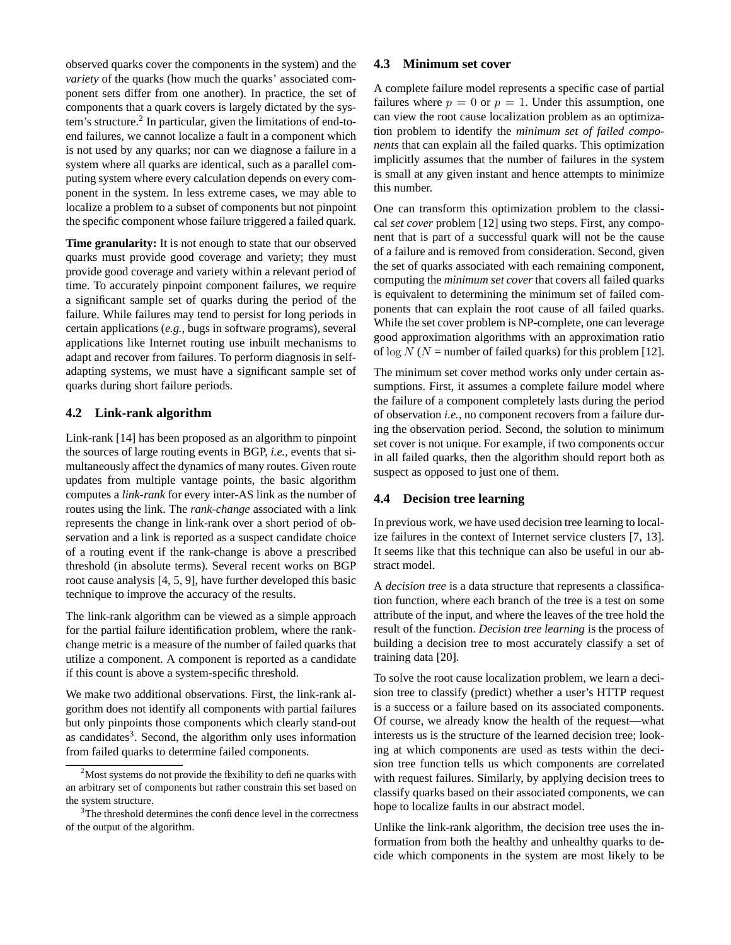observed quarks cover the components in the system) and the *variety* of the quarks (how much the quarks' associated component sets differ from one another). In practice, the set of components that a quark covers is largely dictated by the system's structure.<sup>2</sup> In particular, given the limitations of end-toend failures, we cannot localize a fault in a component which is not used by any quarks; nor can we diagnose a failure in a system where all quarks are identical, such as a parallel computing system where every calculation depends on every component in the system. In less extreme cases, we may able to localize a problem to a subset of components but not pinpoint the specific component whose failure triggered a failed quark.

**Time granularity:** It is not enough to state that our observed quarks must provide good coverage and variety; they must provide good coverage and variety within a relevant period of time. To accurately pinpoint component failures, we require a significant sample set of quarks during the period of the failure. While failures may tend to persist for long periods in certain applications (*e.g.,* bugs in software programs), several applications like Internet routing use inbuilt mechanisms to adapt and recover from failures. To perform diagnosis in selfadapting systems, we must have a significant sample set of quarks during short failure periods.

#### **4.2 Link-rank algorithm**

Link-rank [14] has been proposed as an algorithm to pinpoint the sources of large routing events in BGP, *i.e.,* events that simultaneously affect the dynamics of many routes. Given route updates from multiple vantage points, the basic algorithm computes a *link-rank* for every inter-AS link as the number of routes using the link. The *rank-change* associated with a link represents the change in link-rank over a short period of observation and a link is reported as a suspect candidate choice of a routing event if the rank-change is above a prescribed threshold (in absolute terms). Several recent works on BGP root cause analysis [4, 5, 9], have further developed this basic technique to improve the accuracy of the results.

The link-rank algorithm can be viewed as a simple approach for the partial failure identification problem, where the rankchange metric is a measure of the number of failed quarks that utilize a component. A component is reported as a candidate if this count is above a system-specific threshold.

We make two additional observations. First, the link-rank algorithm does not identify all components with partial failures but only pinpoints those components which clearly stand-out as candidates<sup>3</sup>. Second, the algorithm only uses information from failed quarks to determine failed components.

#### **4.3 Minimum set cover**

A complete failure model represents a specific case of partial failures where  $p = 0$  or  $p = 1$ . Under this assumption, one can view the root cause localization problem as an optimization problem to identify the *minimum set of failed components* that can explain all the failed quarks. This optimization implicitly assumes that the number of failures in the system is small at any given instant and hence attempts to minimize this number.

One can transform this optimization problem to the classical *set cover* problem [12] using two steps. First, any component that is part of a successful quark will not be the cause of a failure and is removed from consideration. Second, given the set of quarks associated with each remaining component, computing the *minimum set cover* that covers all failed quarks is equivalent to determining the minimum set of failed components that can explain the root cause of all failed quarks. While the set cover problem is NP-complete, one can leverage good approximation algorithms with an approximation ratio of  $\log N$  (N = number of failed quarks) for this problem [12].

The minimum set cover method works only under certain assumptions. First, it assumes a complete failure model where the failure of a component completely lasts during the period of observation *i.e.,* no component recovers from a failure during the observation period. Second, the solution to minimum set cover is not unique. For example, if two components occur in all failed quarks, then the algorithm should report both as suspect as opposed to just one of them.

#### **4.4 Decision tree learning**

In previous work, we have used decision tree learning to localize failures in the context of Internet service clusters [7, 13]. It seems like that this technique can also be useful in our abstract model.

A *decision tree* is a data structure that represents a classification function, where each branch of the tree is a test on some attribute of the input, and where the leaves of the tree hold the result of the function. *Decision tree learning* is the process of building a decision tree to most accurately classify a set of training data [20].

To solve the root cause localization problem, we learn a decision tree to classify (predict) whether a user's HTTP request is a success or a failure based on its associated components. Of course, we already know the health of the request—what interests us is the structure of the learned decision tree; looking at which components are used as tests within the decision tree function tells us which components are correlated with request failures. Similarly, by applying decision trees to classify quarks based on their associated components, we can hope to localize faults in our abstract model.

Unlike the link-rank algorithm, the decision tree uses the information from both the healthy and unhealthy quarks to decide which components in the system are most likely to be

 $2^2$ Most systems do not provide the flexibility to define quarks with an arbitrary set of components but rather constrain this set based on the system structure.

<sup>&</sup>lt;sup>3</sup>The threshold determines the confidence level in the correctness of the output of the algorithm.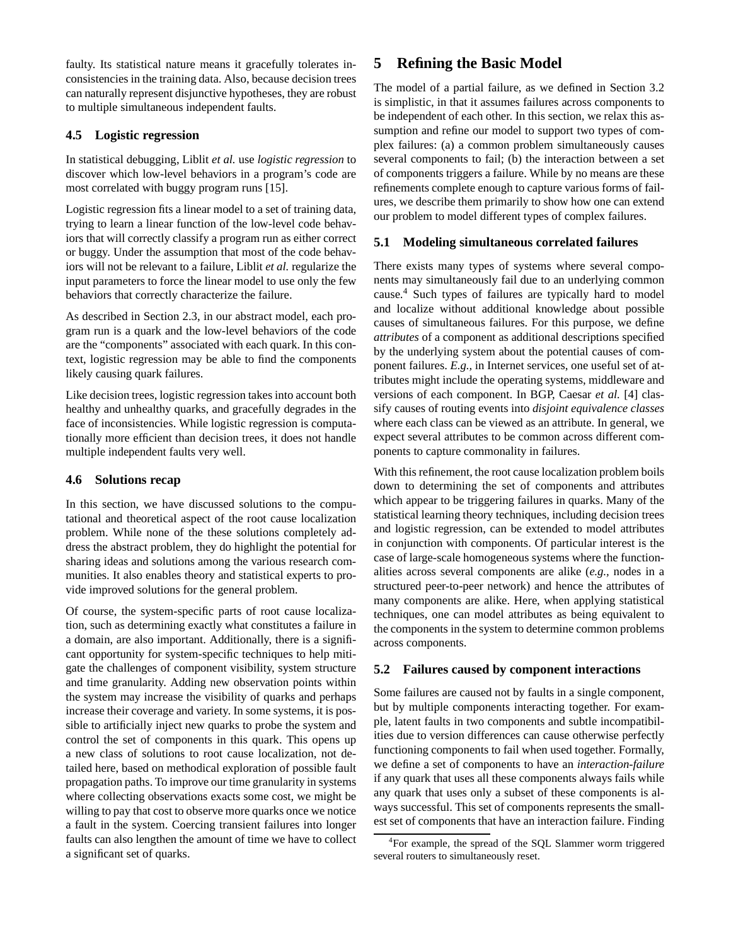faulty. Its statistical nature means it gracefully tolerates inconsistencies in the training data. Also, because decision trees can naturally represent disjunctive hypotheses, they are robust to multiple simultaneous independent faults.

### **4.5 Logistic regression**

In statistical debugging, Liblit *et al.* use *logistic regression* to discover which low-level behaviors in a program's code are most correlated with buggy program runs [15].

Logistic regression fits a linear model to a set of training data, trying to learn a linear function of the low-level code behaviors that will correctly classify a program run as either correct or buggy. Under the assumption that most of the code behaviors will not be relevant to a failure, Liblit *et al.* regularize the input parameters to force the linear model to use only the few behaviors that correctly characterize the failure.

As described in Section 2.3, in our abstract model, each program run is a quark and the low-level behaviors of the code are the "components" associated with each quark. In this context, logistic regression may be able to find the components likely causing quark failures.

Like decision trees, logistic regression takes into account both healthy and unhealthy quarks, and gracefully degrades in the face of inconsistencies. While logistic regression is computationally more efficient than decision trees, it does not handle multiple independent faults very well.

### **4.6 Solutions recap**

In this section, we have discussed solutions to the computational and theoretical aspect of the root cause localization problem. While none of the these solutions completely address the abstract problem, they do highlight the potential for sharing ideas and solutions among the various research communities. It also enables theory and statistical experts to provide improved solutions for the general problem.

Of course, the system-specific parts of root cause localization, such as determining exactly what constitutes a failure in a domain, are also important. Additionally, there is a significant opportunity for system-specific techniques to help mitigate the challenges of component visibility, system structure and time granularity. Adding new observation points within the system may increase the visibility of quarks and perhaps increase their coverage and variety. In some systems, it is possible to artificially inject new quarks to probe the system and control the set of components in this quark. This opens up a new class of solutions to root cause localization, not detailed here, based on methodical exploration of possible fault propagation paths. To improve our time granularity in systems where collecting observations exacts some cost, we might be willing to pay that cost to observe more quarks once we notice a fault in the system. Coercing transient failures into longer faults can also lengthen the amount of time we have to collect a significant set of quarks.

# **5 Refining the Basic Model**

The model of a partial failure, as we defined in Section 3.2 is simplistic, in that it assumes failures across components to be independent of each other. In this section, we relax this assumption and refine our model to support two types of complex failures: (a) a common problem simultaneously causes several components to fail; (b) the interaction between a set of components triggers a failure. While by no means are these refinements complete enough to capture various forms of failures, we describe them primarily to show how one can extend our problem to model different types of complex failures.

### **5.1 Modeling simultaneous correlated failures**

There exists many types of systems where several components may simultaneously fail due to an underlying common cause. <sup>4</sup> Such types of failures are typically hard to model and localize without additional knowledge about possible causes of simultaneous failures. For this purpose, we define *attributes* of a component as additional descriptions specified by the underlying system about the potential causes of component failures. *E.g.,* in Internet services, one useful set of attributes might include the operating systems, middleware and versions of each component. In BGP, Caesar *et al.* [4] classify causes of routing events into *disjoint equivalence classes* where each class can be viewed as an attribute. In general, we expect several attributes to be common across different components to capture commonality in failures.

With this refinement, the root cause localization problem boils down to determining the set of components and attributes which appear to be triggering failures in quarks. Many of the statistical learning theory techniques, including decision trees and logistic regression, can be extended to model attributes in conjunction with components. Of particular interest is the case of large-scale homogeneous systems where the functionalities across several components are alike (*e.g.,* nodes in a structured peer-to-peer network) and hence the attributes of many components are alike. Here, when applying statistical techniques, one can model attributes as being equivalent to the components in the system to determine common problems across components.

#### **5.2 Failures caused by component interactions**

Some failures are caused not by faults in a single component, but by multiple components interacting together. For example, latent faults in two components and subtle incompatibilities due to version differences can cause otherwise perfectly functioning components to fail when used together. Formally, we define a set of components to have an *interaction-failure* if any quark that uses all these components always fails while any quark that uses only a subset of these components is always successful. This set of components represents the smallest set of components that have an interaction failure. Finding

<sup>&</sup>lt;sup>4</sup>For example, the spread of the SQL Slammer worm triggered several routers to simultaneously reset.